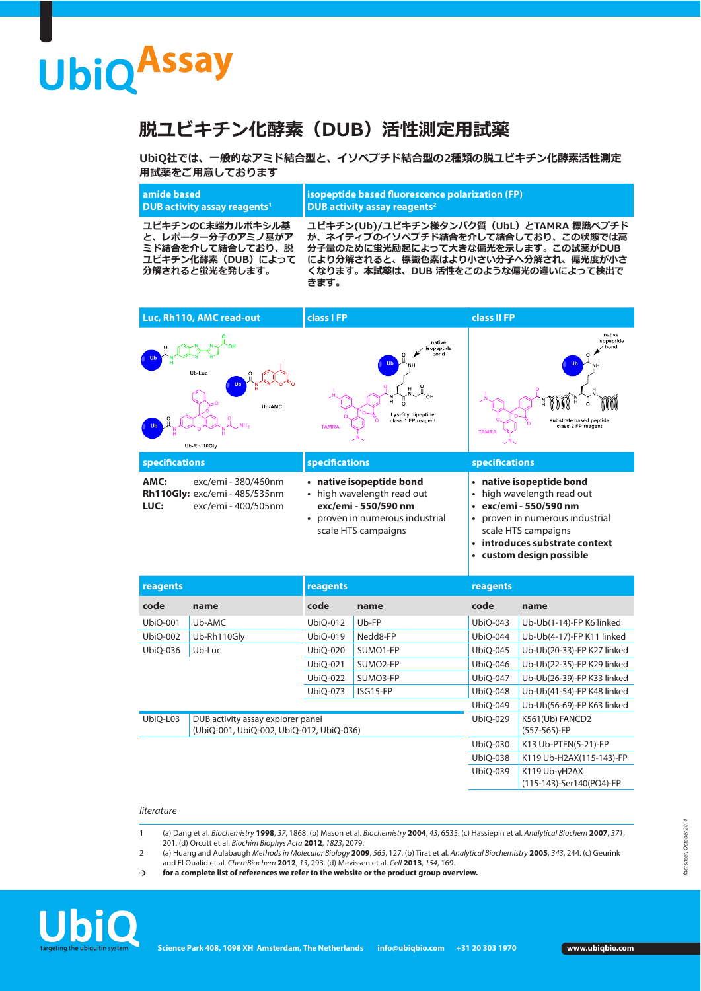# **UbiQAssay**

## **脱ユビキチン化酵素(DUB)活性測定用試薬**

**UbiQ社では、一般的なアミド結合型と、イソペプチド結合型の2種類の脱ユビキチン化酵素活性測定 用試薬をご用意しております**

#### **amide based DUB activity assay reagents<sup>1</sup> isopeptide based fuorescence polarization (FP) DUB activity assay reagents2**

**ユビキチンのC末端カルボキシル基 と、レポーター分子のアミノ基がア ミド結合を介して結合しており、脱 ユビキチン化酵素(DUB)によって 分解されると蛍光を発します。**

**ユビキチン(Ub)/ユビキチン様タンパク質(UbL)とTAMRA 標識ペプチド が、ネイティブのイソペプチド結合を介して結合しており、この状態では高 分子量のために蛍光励起によって大きな偏光を示します。この試薬がDUB により分解されると、標識色素はより小さい分子へ分解され、偏光度が小さ くなります。本試薬は、DUB 活性をこのような偏光の違いによって検出で きます。**



| --------------------------------- |  |  |  |
|-----------------------------------|--|--|--|
| custom design possible            |  |  |  |

| reagents                                                                                  |             | reagents |          | reagents                   |                                           |
|-------------------------------------------------------------------------------------------|-------------|----------|----------|----------------------------|-------------------------------------------|
| code                                                                                      | name        | code     | name     | code                       | name                                      |
| <b>UbiQ-001</b>                                                                           | Ub-AMC      | UbiQ-012 | Ub-FP    | UbiQ-043                   | Ub-Ub(1-14)-FP K6 linked                  |
| UbiO-002                                                                                  | Ub-Rh110Gly | UbiO-019 | Nedd8-FP | UbiO-044                   | Ub-Ub(4-17)-FP K11 linked                 |
| UbiQ-036                                                                                  | Ub-Luc      | UbiQ-020 | SUMO1-FP | UbiQ-045                   | Ub-Ub(20-33)-FP K27 linked                |
|                                                                                           |             | UbiO-021 | SUMO2-FP | <b>UbiQ-046</b>            | Ub-Ub(22-35)-FP K29 linked                |
|                                                                                           |             | UbiQ-022 | SUMO3-FP | <b>UbiQ-047</b>            | Ub-Ub(26-39)-FP K33 linked                |
|                                                                                           |             | UbiQ-073 | ISG15-FP | <b>UbiQ-048</b>            | Ub-Ub(41-54)-FP K48 linked                |
|                                                                                           |             |          | UbiO-049 | Ub-Ub(56-69)-FP K63 linked |                                           |
| UbiQ-L03<br>DUB activity assay explorer panel<br>(UbiQ-001, UbiQ-002, UbiQ-012, UbiQ-036) |             |          |          | UbiO-029                   | K561(Ub) FANCD2<br>(557-565)-FP           |
|                                                                                           |             |          | UbiQ-030 | K13 Ub-PTEN(5-21)-FP       |                                           |
|                                                                                           |             |          |          | UbiO-038                   | K119 Ub-H2AX(115-143)-FP                  |
|                                                                                           |             |          |          | UbiO-039                   | K119 Ub-yH2AX<br>(115-143)-Ser140(PO4)-FP |

#### literature

- 1 (a) Dang et al. Biochemistry **1998**, 37, 1868. (b) Mason et al. Biochemistry **2004**, 43, 6535. (c) Hassiepin et al. Analytical Biochem **2007**, 371, 201. (d) Orcutt et al. Biochim Biophys Acta **2012**, 1823, 2079.
- 2 (a) Huang and Aulabaugh Methods in Molecular Biology **2009**, 565, 127. (b) Tirat et al. Analytical Biochemistry **2005**, 343, 244. (c) Geurink and El Oualid et al. ChemBiochem **2012**, 13, 293. (d) Mevissen et al. Cell **2013**, 154, 169.
- $\rightarrow$  for a complete list of references we refer to the website or the product group overview.

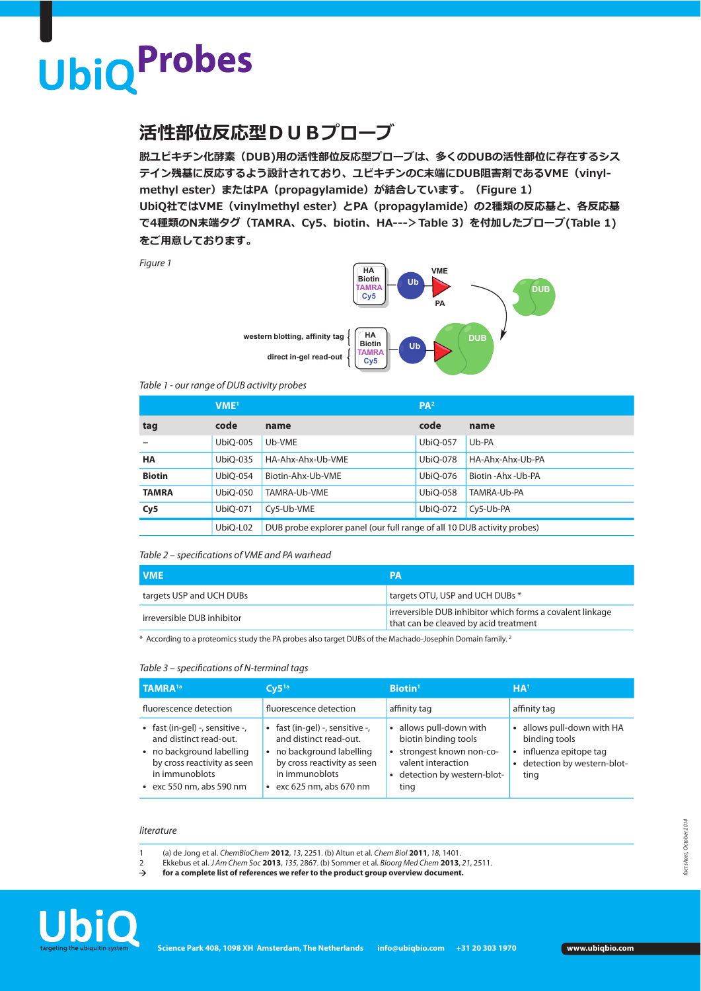## **UbiQProbes**

### **活性部位反応型DUBプローブ**

**脱ユビキチン化酵素(DUB)用の活性部位反応型プローブは、多くのDUBの活性部位に存在するシス テイン残基に反応するよう設計されており、ユビキチンのC末端にDUB阻害剤であるVME(vinylmethyl ester)またはPA(propagylamide)が結合しています。(Figure 1) UbiQ社ではVME(vinylmethyl ester)とPA(propagylamide)の2種類の反応基と、各反応基 で4種類のN末端タグ(TAMRA、Cy5、biotin、HA--->Table 3)を付加したプローブ(Table 1) をご用意しております。**

Figure 1



#### Table 1 - our range of DUB activity probes

|               | VME <sup>1</sup> |                                                                         | PA <sup>2</sup> |                      |
|---------------|------------------|-------------------------------------------------------------------------|-----------------|----------------------|
| tag           | code             | name                                                                    | code            | name                 |
|               | UbiO-005         | Ub-VME                                                                  | <b>UbiO-057</b> | Ub-PA                |
| <b>HA</b>     | UbiO-035         | HA-Ahx-Ahx-Ub-VME                                                       | UbiO-078        | HA-Ahx-Ahx-Ub-PA     |
| <b>Biotin</b> | UbiO-054         | Biotin-Ahx-Ub-VME                                                       | UbiO-076        | Biotin - Ahx - Ub-PA |
| <b>TAMRA</b>  | UbiO-050         | TAMRA-Ub-VME                                                            | <b>UbiO-058</b> | TAMRA-Ub-PA          |
| Cy5           | UbiO-071         | Cy5-Ub-VME                                                              | UbiQ-072        | Cy5-Ub-PA            |
|               | UbiQ-L02         | DUB probe explorer panel (our full range of all 10 DUB activity probes) |                 |                      |

#### Table 2 – specifcations of VME and PA warhead

| <b>VME</b>                 | <b>PA</b>                                                                                          |
|----------------------------|----------------------------------------------------------------------------------------------------|
| targets USP and UCH DUBs   | targets OTU, USP and UCH DUBs *                                                                    |
| irreversible DUB inhibitor | irreversible DUB inhibitor which forms a covalent linkage<br>that can be cleaved by acid treatment |

\* According to a proteomics study the PA probes also target DUBs of the Machado-Josephin Domain family. 2

#### Table 3 – specifcations of N-terminal tags

| TAMRA <sup>1a</sup>                                                                                                                                                       | $Cy5^{1a}$                                                                                                                                                      | Biotin <sup>1</sup>                                                                                                                    | HA <sup>1</sup>                                                                                                |
|---------------------------------------------------------------------------------------------------------------------------------------------------------------------------|-----------------------------------------------------------------------------------------------------------------------------------------------------------------|----------------------------------------------------------------------------------------------------------------------------------------|----------------------------------------------------------------------------------------------------------------|
| fluorescence detection                                                                                                                                                    | fluorescence detection                                                                                                                                          | affinity tag                                                                                                                           | affinity tag                                                                                                   |
| • fast (in-gel) -, sensitive -,<br>and distinct read-out.<br>• no background labelling<br>by cross reactivity as seen<br>in immunoblots<br>$\cdot$ exc 550 nm, abs 590 nm | · fast (in-gel) -, sensitive -,<br>and distinct read-out.<br>no background labelling<br>by cross reactivity as seen<br>in immunoblots<br>exc 625 nm, abs 670 nm | • allows pull-down with<br>biotin binding tools<br>strongest known non-co-<br>valent interaction<br>detection by western-blot-<br>ting | • allows pull-down with HA<br>binding tools<br>• influenza epitope tag<br>• detection by western-blot-<br>ting |

#### literature

- 1 (a) de Jong et al. ChemBioChem **2012**, 13, 2251. (b) Altun et al. Chem Biol **2011**, 18, 1401.
- 2 Ekkebus et al. J Am Chem Soc **2013**, 135, 2867. (b) Sommer et al. Bioorg Med Chem **2013**, 21, 2511.
- **for a complete list of references we refer to the product group overview document.**